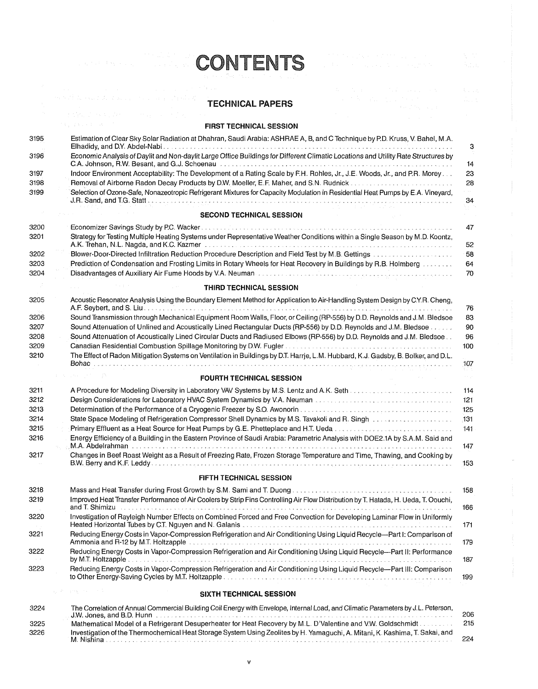## **TECHNICAL PAPERS**

**CONTENTS** 

## **FIRST TECHNICAL SESSION**

| 3195 | Estimation of Clear Sky Solar Radiation at Dhahran, Saudi Arabia: ASHRAE A, B, and C Technique by P.D. Kruss, V. Bahel, M.A.<br>Elhadidy, and D.Y. Abdel-Nabi                                                                                                                                                                                                       | 3                         |
|------|---------------------------------------------------------------------------------------------------------------------------------------------------------------------------------------------------------------------------------------------------------------------------------------------------------------------------------------------------------------------|---------------------------|
| 3196 | Economic Analysis of Daylit and Non-daylit Large Office Buildings for Different Climatic Locations and Utility Rate Structures by                                                                                                                                                                                                                                   | 14                        |
| 3197 | Indoor Environment Acceptability: The Development of a Rating Scale by F.H. Rohles, Jr., J.E. Woods, Jr., and P.R. Morey                                                                                                                                                                                                                                            | 23                        |
| 3198 | Removal of Airborne Radon Decay Products by D.W. Moeller, E.F. Maher, and S.N. Rudnick                                                                                                                                                                                                                                                                              | 28                        |
| 3199 | Selection of Ozone-Safe, Nonazeotropic Refrigerant Mixtures for Capacity Modulation in Residential Heat Pumps by E.A. Vineyard,<br>J.R. Sand, and T.G. Statt entry and the contract of the contract of the contract of the contract of the contract of the contract of the contract of the contract of the contract of the contract of the contract of the contra   | 34                        |
|      | <b>SECOND TECHNICAL SESSION</b>                                                                                                                                                                                                                                                                                                                                     |                           |
| 3200 |                                                                                                                                                                                                                                                                                                                                                                     | 47                        |
| 3201 | Strategy for Testing Multiple Heating Systems under Representative Weather Conditions within a Single Season by M.D. Koontz,<br>A.K. Trehan, N.L. Nagda, and K.C. Kazmer the contract of the contract of the contract of the contract of the c                                                                                                                      | 52                        |
| 3202 |                                                                                                                                                                                                                                                                                                                                                                     | 58                        |
| 3203 | Prediction of Condensation and Frosting Limits in Rotary Wheels for Heat Recovery in Buildings by R.B. Holmberg                                                                                                                                                                                                                                                     | 64                        |
| 3204 | Disadvantages of Auxiliary Air Fume Hoods by V.A. Neuman Fact of the Contract of the Contract of Auxiliary Air                                                                                                                                                                                                                                                      | 70                        |
|      | THIRD TECHNICAL SESSION                                                                                                                                                                                                                                                                                                                                             |                           |
| 3205 | Acoustic Resonator Analysis Using the Boundary Element Method for Application to Air-Handling System Design by C.Y.R. Cheng,                                                                                                                                                                                                                                        |                           |
|      |                                                                                                                                                                                                                                                                                                                                                                     | 76                        |
| 3206 | Sound Transmission through Mechanical Equipment Room Walls, Floor, or Ceiling (RP-556) by D.D. Reynolds and J.M. Bledsoe                                                                                                                                                                                                                                            | 83                        |
| 3207 | Sound Attenuation of Unlined and Acoustically Lined Rectangular Ducts (RP-556) by D.D. Reynolds and J.M. Bledsoe                                                                                                                                                                                                                                                    | 90                        |
| 3208 | Sound Attenuation of Acoustically Lined Circular Ducts and Radiused Elbows (RP-556) by D.D. Reynolds and J.M. Bledsoe                                                                                                                                                                                                                                               | 96                        |
| 3209 |                                                                                                                                                                                                                                                                                                                                                                     | 100                       |
| 3210 | The Effect of Radon Mitigation Systems on Ventilation in Buildings by D.T. Harrje, L.M. Hubbard, K.J. Gadsby, B. Bolker, and D.L.                                                                                                                                                                                                                                   | 107                       |
|      | <b>FOURTH TECHNICAL SESSION</b>                                                                                                                                                                                                                                                                                                                                     | $\alpha \in \mathbb{R}^d$ |
| 3211 |                                                                                                                                                                                                                                                                                                                                                                     | 114                       |
| 3212 | Design Considerations for Laboratory HVAC System Dynamics by V.A. Neuman Administration and account the construction                                                                                                                                                                                                                                                | 121                       |
| 3213 | Determination of the Performance of a Cryogenic Freezer by S.O. Awonorin (and accompandation of the Performance                                                                                                                                                                                                                                                     | 125                       |
| 3214 | State Space Modeling of Refrigeration Compressor Shell Dynamics by M.S. Tavakoli and R. Singh                                                                                                                                                                                                                                                                       | 131                       |
| 3215 |                                                                                                                                                                                                                                                                                                                                                                     | 141                       |
| 3216 | Energy Efficiency of a Building in the Eastern Province of Saudi Arabia: Parametric Analysis with DOE2.1A by S.A.M. Said and                                                                                                                                                                                                                                        |                           |
|      |                                                                                                                                                                                                                                                                                                                                                                     | 147                       |
| 3217 | Changes in Beef Roast Weight as a Result of Freezing Rate, Frozen Storage Temperature and Time, Thawing, and Cooking by                                                                                                                                                                                                                                             | 153                       |
|      | <b>FIFTH TECHNICAL SESSION</b>                                                                                                                                                                                                                                                                                                                                      |                           |
| 3218 |                                                                                                                                                                                                                                                                                                                                                                     | 158                       |
| 3219 | Improved Heat Transfer Performance of Air Coolers by Strip Fins Controlling Air Flow Distribution by T. Hatada, H. Ueda, T. Oouchi,<br>and T. Shimizu                                                                                                                                                                                                               | 166                       |
| 3220 | Investigation of Rayleigh Number Effects on Combined Forced and Free Convection for Developing Laminar Flow in Uniformly                                                                                                                                                                                                                                            | 171                       |
| 3221 | Reducing Energy Costs in Vapor-Compression Refrigeration and Air Conditioning Using Liquid Recycle-Part I: Comparison of<br>Ammonia and R-12 by M.T. Holtzapple (educational contract of contract and contract and contract and contract of                                                                                                                         | 179                       |
| 3222 | Reducing Energy Costs in Vapor-Compression Refrigeration and Air Conditioning Using Liquid Recycle---Part II: Performance                                                                                                                                                                                                                                           | 187                       |
| 3223 | Reducing Energy Costs in Vapor-Compression Refrigeration and Air Conditioning Using Liquid Recycle-Part III: Comparison                                                                                                                                                                                                                                             | 199                       |
|      | $\mathcal{L}^{\mathcal{L}}(\mathcal{L}^{\mathcal{L}})$ , where $\mathcal{L}^{\mathcal{L}}(\mathcal{L}^{\mathcal{L}})$ and $\mathcal{L}^{\mathcal{L}}(\mathcal{L}^{\mathcal{L}})$<br>go de la sua concelho de<br>SIXTH TECHNICAL SESSION                                                                                                                             |                           |
|      |                                                                                                                                                                                                                                                                                                                                                                     |                           |
| 3224 | The Correlation of Annual Commercial Building Coil Energy with Envelope, Internal Load, and Climatic Parameters by J.L. Peterson,<br>J.W. Jones, and B.D. Hunner, and accountance of the control of the control of the control of the control of the control of the control of the control of the control of the control of the control of the control of the contr | 206                       |

|      |                                                                                                                                            | 206 |
|------|--------------------------------------------------------------------------------------------------------------------------------------------|-----|
| 3225 | Mathematical Model of a Refrigerant Desuperheater for Heat Recovery by M.L. D'Valentine and V.W. Goldschmidt                               |     |
| 3226 | Investigation of the Thermochemical Heat Storage System Using Zeolites by H. Yamaguchi, A. Mitani, K. Kashima, T. Sakai, and<br>M. Nishina | 224 |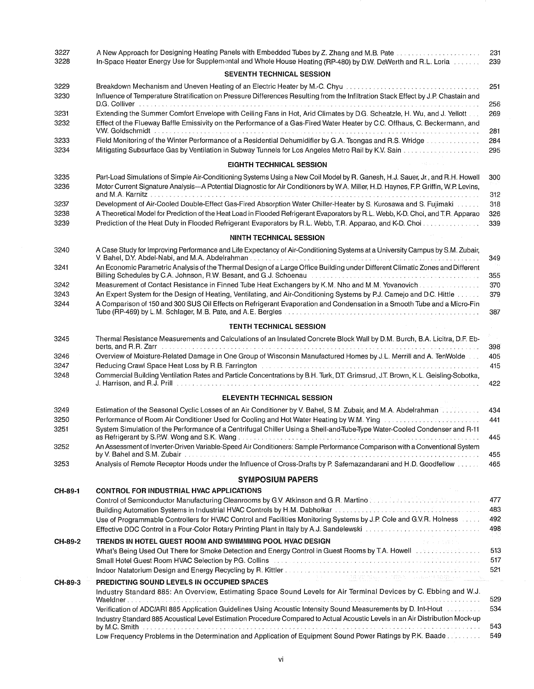| 3227<br>3228         | A New Approach for Designing Heating Panels with Embedded Tubes by Z. Zhang and M.B. Pate manufacture in the s<br>In-Space Heater Energy Use for Supplemental and Whole House Heating (RP-480) by D.W. DeWerth and R.L. Loria<br><b>SEVENTH TECHNICAL SESSION</b>                                                                                                                                                                                                                             | 231<br>239               |
|----------------------|-----------------------------------------------------------------------------------------------------------------------------------------------------------------------------------------------------------------------------------------------------------------------------------------------------------------------------------------------------------------------------------------------------------------------------------------------------------------------------------------------|--------------------------|
| 3229<br>3230         | Breakdown Mechanism and Uneven Heating of an Electric Heater by M.-C. Chyu metal contains and contain a proportional of<br>Influence of Temperature Stratification on Pressure Differences Resulting from the Infiltration Stack Effect by J.P. Chastain and<br>D.G. Colliver the contract of the contract of the contract of the contract of the contract of the contract of the contract of the contract of the contract of the contract of the contract of the contract of the contract of | 251<br>256               |
| 3231<br>3232         | Extending the Summer Comfort Envelope with Ceiling Fans in Hot, Arid Climates by D.G. Scheatzle, H. Wu, and J. Yellott<br>Effect of the Flueway Baffle Emissivity on the Performance of a Gas-Fired Water Heater by C.C. Offhaus, C. Beckermann, and<br>V.W. Goldschmidt www.communications.communications.com/www.communications.com/www.communications.com                                                                                                                                  | 269<br>281               |
| 3233<br>3234         | Field Monitoring of the Winter Performance of a Residential Dehumidifier by G.A. Tsongas and R.S. Wridge                                                                                                                                                                                                                                                                                                                                                                                      | 284<br>295               |
|                      | <b>EIGHTH TECHNICAL SESSION</b>                                                                                                                                                                                                                                                                                                                                                                                                                                                               |                          |
| 3235<br>3236         | Part-Load Simulations of Simple Air-Conditioning Systems Using a New Coil Model by R. Ganesh, H.J. Sauer, Jr., and R.H. Howell<br>Motor Current Signature Analysis-A Potential Diagnostic for Air Conditioners by W.A. Miller, H.D. Haynes, F.P. Griffin, W.P. Levins,                                                                                                                                                                                                                        | 300<br>312               |
| 3237<br>3238<br>3239 | Development of Air-Cooled Double-Effect Gas-Fired Absorption Water Chiller-Heater by S. Kurosawa and S. Fujimaki contract<br>A Theoretical Model for Prediction of the Heat Load in Flooded Refrigerant Evaporators by R.L. Webb, K-D. Choi, and T.R. Apparao                                                                                                                                                                                                                                 | 318<br>326               |
|                      |                                                                                                                                                                                                                                                                                                                                                                                                                                                                                               | 339                      |
|                      | <b>NINTH TECHNICAL SESSION</b>                                                                                                                                                                                                                                                                                                                                                                                                                                                                |                          |
| 3240<br>3241         | A Case Study for Improving Performance and Life Expectancy of Air-Conditioning Systems at a University Campus by S.M. Zubair,<br>An Economic Parametric Analysis of the Thermal Design of a Large Office Building under Different Climatic Zones and Different<br>Billing Schedules by C.A. Johnson, R.W. Besant, and G.J. Schoenau et al. (2008) and according to the control of                                                                                                             | 349<br>355               |
| 3242                 | Measurement of Contact Resistance in Finned Tube Heat Exchangers by K.M. Nho and M.M. Yovanovich.                                                                                                                                                                                                                                                                                                                                                                                             | 370                      |
| 3243<br>3244         | An Expert System for the Design of Heating, Ventilating, and Air-Conditioning Systems by P.J. Camejo and D.C. Hittle<br>A Comparison of 150 and 300 SUS Oil Effects on Refrigerant Evaporation and Condensation in a Smooth Tube and a Micro-Fin                                                                                                                                                                                                                                              | 379<br>387               |
|                      | <b>TENTH TECHNICAL SESSION</b>                                                                                                                                                                                                                                                                                                                                                                                                                                                                |                          |
| 3245                 | Thermal Resistance Measurements and Calculations of an Insulated Concrete Block Wall by D.M. Burch, B.A. Licitra, D.F. Eb-                                                                                                                                                                                                                                                                                                                                                                    | 398                      |
| 3246<br>3247         | Overview of Moisture-Related Damage in One Group of Wisconsin Manufactured Homes by J.L. Merrill and A. TenWolde<br>Reducing Crawl Space Heat Loss by R.B. Farrington A.D. And Aller Aller Aller Aller Concern Construction Concern                                                                                                                                                                                                                                                           | 405<br>415               |
| 3248                 | Commercial Building Ventilation Rates and Particle Concentrations by B.H. Turk, D.T. Grimsrud, J.T. Brown, K.L. Geisling-Sobotka,                                                                                                                                                                                                                                                                                                                                                             | 422                      |
|                      | <b>ELEVENTH TECHNICAL SESSION</b>                                                                                                                                                                                                                                                                                                                                                                                                                                                             |                          |
| 3249                 | Estimation of the Seasonal Cyclic Losses of an Air Conditioner by V. Bahel, S.M. Zubair, and M.A. Abdelrahman                                                                                                                                                                                                                                                                                                                                                                                 | 434                      |
| 3250<br>3251         | Performance of Room Air Conditioner Used for Cooling and Hot Water Heating by W.M. Ying [10] Conditional Processors<br>System Simulation of the Performance of a Centrifugal Chiller Using a Shell-and-Tube-Type Water-Cooled Condenser and R-11                                                                                                                                                                                                                                              | 441                      |
| 3252                 | An Assessment of Inverter-Driven Variable-Speed Air Conditioners: Sample Performance Comparison with a Conventional System                                                                                                                                                                                                                                                                                                                                                                    | 445<br>455               |
| 3253                 | Analysis of Remote Receptor Hoods under the Influence of Cross-Drafts by P. Safemazandarani and H.D. Goodfellow                                                                                                                                                                                                                                                                                                                                                                               | 465                      |
|                      | <b>SYMPOSIUM PAPERS</b>                                                                                                                                                                                                                                                                                                                                                                                                                                                                       |                          |
| CH-89-1              | <b>CONTROL FOR INDUSTRIAL HVAC APPLICATIONS</b>                                                                                                                                                                                                                                                                                                                                                                                                                                               |                          |
|                      | Control of Semiconductor Manufacturing Cleanrooms by G.V. Atkinson and G.R. Martino Control of Semiconductor Manufacturing Cleanrooms by G.V. Atkinson and G.R. Martino Control of Control of Control of Atkinson and G.R. Mar<br>Use of Programmable Controllers for HVAC Control and Facilities Monitoring Systems by J.P. Cole and G.V.R. Holness<br>Effective DDC Control in a Four-Color Rotary Printing Plant in Italy by A.J. Sandelewski ettermined to contract the control of        | 477<br>483<br>492<br>498 |
| CH-89-2              | TRENDS IN HOTEL GUEST ROOM AND SWIMMING POOL HVAC DESIGN<br>○ 1000 × 1000 × 1000 × 1000 × 2000 × 2000 × 2000 × 2000 × 2000 × 2000 × 2000 × 2000 × 2000 × 2000 × 2000 × 2000                                                                                                                                                                                                                                                                                                                   |                          |
|                      | What's Being Used Out There for Smoke Detection and Energy Control in Guest Rooms by T.A. Howell was a conservative of                                                                                                                                                                                                                                                                                                                                                                        | 513<br>517<br>521        |
| CH-89-3              | <u> 1999 - Johann Barn, mark mar fransk fysik</u><br>PREDICTING SOUND LEVELS IN OCCUPIED SPACES                                                                                                                                                                                                                                                                                                                                                                                               |                          |
|                      | Industry Standard 885: An Overview, Estimating Space Sound Levels for Air Terminal Devices by C. Ebbing and W.J.                                                                                                                                                                                                                                                                                                                                                                              | 529                      |
|                      | Verification of ADC/ARI 885 Application Guidelines Using Acoustic Intensity Sound Measurements by D. Int-Hout No. 1996.<br>Industry Standard 885 Acoustical Level Estimation Procedure Compared to Actual Acoustic Levels in an Air Distribution Mock-up                                                                                                                                                                                                                                      | 534                      |
|                      | by M.C. Smith december 2010 response to the control of the control of the control of the control of the control of the control of the control of the control of the control of the control of the control of the control of th<br>Low Frequency Problems in the Determination and Application of Equipment Sound Power Ratings by P.K. Baade                                                                                                                                                  | 543<br>549               |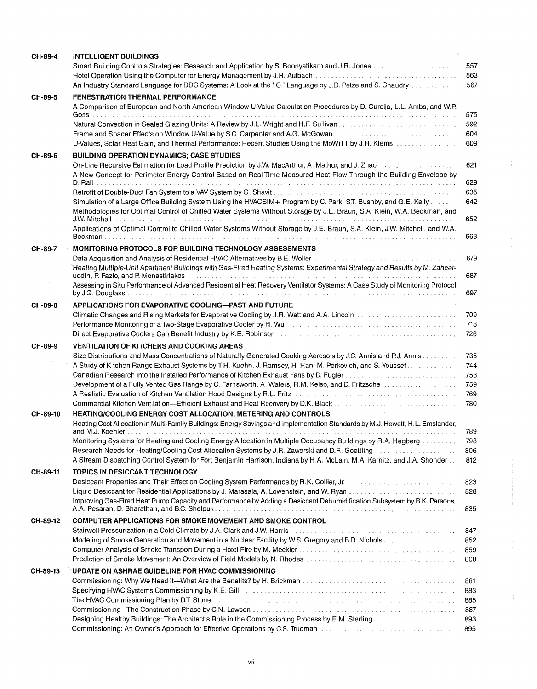| CH-89-4  | <b>INTELLIGENT BUILDINGS</b>                                                                                                                                                                                                   |            |
|----------|--------------------------------------------------------------------------------------------------------------------------------------------------------------------------------------------------------------------------------|------------|
|          | Smart Building Controls Strategies: Research and Application by S. Boonyatikarn and J.R. Jones                                                                                                                                 | 557        |
|          | Hotel Operation Using the Computer for Energy Management by J.R. Aulbach                                                                                                                                                       | 563        |
|          | An Industry Standard Language for DDC Systems: A Look at the "C" Language by J.D. Petze and S. Chaudry                                                                                                                         | 567        |
| CH-89-5  | <b>FENESTRATION THERMAL PERFORMANCE</b>                                                                                                                                                                                        |            |
|          | A Comparison of European and North American Window U-Value Calculation Procedures by D. Curcija, L.L. Ambs, and W.P.                                                                                                           |            |
|          |                                                                                                                                                                                                                                | 575        |
|          |                                                                                                                                                                                                                                | 592        |
|          | Frame and Spacer Effects on Window U-Value by S.C. Carpenter and A.G. McGowan                                                                                                                                                  | 604        |
|          | U-Values, Solar Heat Gain, and Thermal Performance: Recent Studies Using the MoWiTT by J.H. Klems                                                                                                                              | 609        |
| CH-89-6  | <b>BUILDING OPERATION DYNAMICS; CASE STUDIES</b>                                                                                                                                                                               |            |
|          | On-Line Recursive Estimation for Load Profile Prediction by J.W. MacArthur, A. Mathur, and J. Zhao                                                                                                                             | 621        |
|          | A New Concept for Perimeter Energy Control Based on Real-Time Measured Heat Flow Through the Building Envelope by                                                                                                              |            |
|          |                                                                                                                                                                                                                                | 629        |
|          |                                                                                                                                                                                                                                | 635        |
|          | Simulation of a Large Office Building System Using the HVACSIM+ Program by C. Park, S.T. Bushby, and G.E. Kelly                                                                                                                | 642        |
|          | Methodologies for Optimal Control of Chilled Water Systems Without Storage by J.E. Braun, S.A. Klein, W.A. Beckman, and                                                                                                        |            |
|          |                                                                                                                                                                                                                                | 652        |
|          | Applications of Optimal Control to Chilled Water Systems Without Storage by J.E. Braun, S.A. Klein, J.W. Mitchell, and W.A.                                                                                                    |            |
|          | Beckman                                                                                                                                                                                                                        | 663        |
| CH-89-7  | <b>MONITORING PROTOCOLS FOR BUILDING TECHNOLOGY ASSESSMENTS</b>                                                                                                                                                                |            |
|          | Data Acquisition and Analysis of Residential HVAC Alternatives by B.E. Woller <b>Conservative Conservative Conservative</b>                                                                                                    | 679        |
|          | Heating Multiple-Unit Apartment Buildings with Gas-Fired Heating Systems: Experimental Strategy and Results by M. Zaheer-                                                                                                      |            |
|          | uddin, P. Fazio, and P. Monastiriakos ethnology and the contract of the contract of the contract of the contract of the contract of the contract of the contract of the contract of the contract of the contract of the contra | 687        |
|          | Assessing in Situ Performance of Advanced Residential Heat Recovery Ventilator Systems: A Case Study of Monitoring Protocol                                                                                                    |            |
|          |                                                                                                                                                                                                                                | 697        |
| CH-89-8  | APPLICATIONS FOR EVAPORATIVE COOLING-PAST AND FUTURE                                                                                                                                                                           |            |
|          | Climatic Changes and Rising Markets for Evaporative Cooling by J.R. Watt and A.A. Lincoln was accessed as a series of the S                                                                                                    | 709        |
|          | Performance Monitoring of a Two-Stage Evaporative Cooler by H. Wuman and account and account the control of the                                                                                                                | 718        |
|          |                                                                                                                                                                                                                                | 726        |
| CH-89-9  | <b>VENTILATION OF KITCHENS AND COOKING AREAS</b>                                                                                                                                                                               |            |
|          | Size Distributions and Mass Concentrations of Naturally Generated Cooking Aerosols by J.C. Annis and P.J. Annis                                                                                                                | 735        |
|          | A Study of Kitchen Range Exhaust Systems by T.H. Kuehn, J. Ramsey, H. Han, M. Perkovich, and S. Youssef                                                                                                                        | 744        |
|          | Canadian Research into the Installed Performance of Kitchen Exhaust Fans by D. Fugler and accountance of the University of                                                                                                     | 753        |
|          |                                                                                                                                                                                                                                | 759        |
|          | A Realistic Evaluation of Kitchen Ventilation Hood Designs by R.L. Fritz Concernment Communication Concernment                                                                                                                 | 769        |
|          | Commercial Kitchen Ventilation—Efficient Exhaust and Heat Recovery by D.K. Black                                                                                                                                               | 780        |
| CH-89-10 | HEATING/COOLING ENERGY COST ALLOCATION, METERING AND CONTROLS                                                                                                                                                                  |            |
|          | Heating Cost Allocation in Multi-Family Buildings: Energy Savings and Implementation Standards by M.J. Hewett, H.L. Emslander,                                                                                                 |            |
|          |                                                                                                                                                                                                                                | 789        |
|          | Monitoring Systems for Heating and Cooling Energy Allocation in Multiple Occupancy Buildings by R.A. Hegberg measure                                                                                                           | 798        |
|          | Research Needs for Heating/Cooling Cost Allocation Systems by J.R. Zaworski and D.R. Goettling [1966] [1966] A                                                                                                                 | 806<br>812 |
|          | A Stream Dispatching Control System for Fort Benjamin Harrison, Indiana by H.A. McLain, M.A. Karnitz, and J.A. Shonder                                                                                                         |            |
| CH-89-11 | TOPICS IN DESICCANT TECHNOLOGY                                                                                                                                                                                                 |            |
|          | Desiccant Properties and Their Effect on Cooling System Performance by R.K. Collier, Jr. (1998) 1996 (1999) 19                                                                                                                 | 823        |
|          |                                                                                                                                                                                                                                | 828        |
|          | Improving Gas-Fired Heat Pump Capacity and Performance by Adding a Desiccant Dehumidification Subsystem by B.K. Parsons,<br>A.A. Pesaran, D. Bharathan, and B.C. Shelpuk                                                       | 835        |
|          |                                                                                                                                                                                                                                |            |
| CH-89-12 | COMPUTER APPLICATIONS FOR SMOKE MOVEMENT AND SMOKE CONTROL                                                                                                                                                                     |            |
|          | Stairwell Pressurization in a Cold Climate by J.A. Clark and J.W. Harris Williams and Constant and Constant an                                                                                                                 | 847        |
|          |                                                                                                                                                                                                                                | 852        |
|          |                                                                                                                                                                                                                                | 859        |
|          | Prediction of Smoke Movement: An Overview of Field Models by N. Rhodes Allen And Allen And Allen And Allen And                                                                                                                 | 868        |
| CH-89-13 | UPDATE ON ASHRAE GUIDELINE FOR HVAC COMMISSIONING                                                                                                                                                                              |            |
|          |                                                                                                                                                                                                                                | 881        |
|          | Specifying HVAC Systems Commissioning by K.E. Gill <b>Construct Construct Construct Construct</b> Construct Construct C                                                                                                        | 883        |
|          | The HVAC Commissioning Plan by D.T. Stone entirely assume that is a substitution of the HVAC Commissioning Plan                                                                                                                | 885        |
|          |                                                                                                                                                                                                                                | 887        |
|          | Designing Healthy Buildings: The Architect's Role in the Commissioning Process by E.M. Sterling [1999] Healthy Buildings: The Architect's Role in the Commissioning Process by E.M. Sterling [1999]                            | 893        |
|          | Commissioning: An Owner's Approach for Effective Operations by C.S. Trueman [19] Commissioning: An Owner's Approach for Effective Operations by C.S. Trueman [19] Commission: [19] Commission: [19] Commission: [19] Commissio | 895        |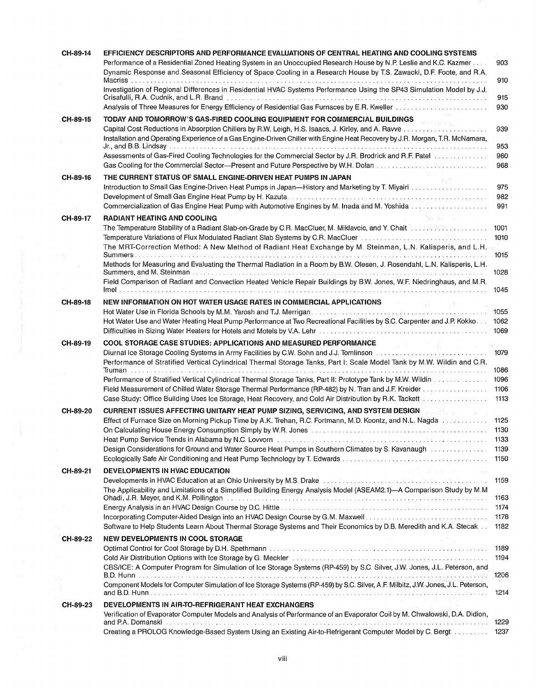| CH-89-14 | EFFICIENCY DESCRIPTORS AND PERFORMANCE EVALUATIONS OF CENTRAL HEATING AND COOLING SYSTEMS                                                                                                                                                                                                                                                                   |                   |
|----------|-------------------------------------------------------------------------------------------------------------------------------------------------------------------------------------------------------------------------------------------------------------------------------------------------------------------------------------------------------------|-------------------|
|          | Performance of a Residential Zoned Heating System in an Unoccupied Research House by N.P. Leslie and K.C. Kazmer<br>Dynamic Response and Seasonal Efficiency of Space Cooling in a Research House by T.S. Zawacki, D.F. Foote, and R.A.                                                                                                                     | 903               |
|          | Investigation of Regional Differences in Residential HVAC Systems Performance Using the SP43 Simulation Model by J.J.                                                                                                                                                                                                                                       | 910<br>915        |
|          | Analysis of Three Measures for Energy Efficiency of Residential Gas Furnaces by E.R. Kweller et all analysis of Three Measures for                                                                                                                                                                                                                          | 930               |
| CH-89-15 | TODAY AND TOMORROW'S GAS-FIRED COOLING EQUIPMENT FOR COMMERCIAL BUILDINGS                                                                                                                                                                                                                                                                                   |                   |
|          | Installation and Operating Experience of a Gas Engine-Driven Chiller with Engine Heat Recovery by J.R. Morgan, T.R. McNamara,                                                                                                                                                                                                                               | 939               |
|          | Jr., and B.B. Lindsay<br>Assessments of Gas-Fired Cooling Technologies for the Commercial Sector by J.R. Brodrick and R.F. Patel Westerweiterweiter<br>Gas Cooling for the Commercial Sector—Present and Future Perspective by W.H. Dolan measures and the Commercial                                                                                       | 953<br>960<br>968 |
| CH-89-16 | THE CURRENT STATUS OF SMALL ENGINE-DRIVEN HEAT PUMPS IN JAPAN<br>Introduction to Small Gas Engine-Driven Heat Pumps in Japan-History and Marketing by T. Miyairi                                                                                                                                                                                            | 975               |
|          | Commercialization of Gas Engine Heat Pump with Automotive Engines by M. Inada and M. Yoshida conditional conditions                                                                                                                                                                                                                                         | 982<br>991        |
| CH-89-17 | <b>RADIANT HEATING AND COOLING</b>                                                                                                                                                                                                                                                                                                                          |                   |
|          | The Temperature Stability of a Radiant Slab-on-Grade by C.R. MacCluer, M. Miklavcic, and Y. Chait Necessary State Communication<br>Temperature Variations of Flux Modulated Radiant Slab Systems by C.R. MacCluer et also conserved as a serie in                                                                                                           | 1001<br>1010      |
|          | The MRT-Correction Method: A New Method of Radiant Heat Exchange by M. Steinman, L.N. Kalisperis, and L.H.                                                                                                                                                                                                                                                  | 1015              |
|          | Methods for Measuring and Evaluating the Thermal Radiation in a Room by B.W. Olesen, J. Rosendahl, L.N. Kalisperis, L.H.                                                                                                                                                                                                                                    | 1028              |
|          | Field Comparison of Radiant and Convection Heated Vehicle Repair Buildings by B.W. Jones, W.F. Niedringhaus, and M.R.                                                                                                                                                                                                                                       |                   |
|          |                                                                                                                                                                                                                                                                                                                                                             | 1045              |
| CH-89-18 | NEW INFORMATION ON HOT WATER USAGE RATES IN COMMERCIAL APPLICATIONS                                                                                                                                                                                                                                                                                         |                   |
|          | Hot Water Use and Water Heating Heat Pump Performance at Two Recreational Facilities by S.C. Carpenter and J.P. Kokko                                                                                                                                                                                                                                       | 1055<br>1062      |
|          |                                                                                                                                                                                                                                                                                                                                                             | 1069              |
| CH-89-19 | COOL STORAGE CASE STUDIES: APPLICATIONS AND MEASURED PERFORMANCE                                                                                                                                                                                                                                                                                            |                   |
|          | Diurnal Ice Storage Cooling Systems in Army Facilities by C.W. Sohn and J.J. Tomlinson www.www.www.www.www.ww<br>Performance of Stratified Vertical Cylindrical Thermal Storage Tanks, Part I: Scale Model Tank by M.W. Wildin and C.R.                                                                                                                     | 1079              |
|          |                                                                                                                                                                                                                                                                                                                                                             | 1086              |
|          | Performance of Stratified Vertical Cylindrical Thermal Storage Tanks, Part II: Prototype Tank by M.W. Wildin                                                                                                                                                                                                                                                | 1096              |
|          | Field Measurement of Chilled Water Storage Thermal Performance (RP-482) by N. Tran and J.F. Kreider                                                                                                                                                                                                                                                         | 1106              |
|          | Case Study: Office Building Uses Ice Storage, Heat Recovery, and Cold Air Distribution by R.K. Tackett material contracts                                                                                                                                                                                                                                   | 1113              |
| CH-89-20 | <b>CURRENT ISSUES AFFECTING UNITARY HEAT PUMP SIZING, SERVICING, AND SYSTEM DESIGN AND START START START START ST</b><br>Effect of Furnace Size on Morning Pickup Time by A.K. Trehan, R.C. Fortmann, M.D. Koontz, and N.L. Nagda experiments                                                                                                               | 1125              |
|          | On Calculating House Energy Consumption Simply by W.R. Jones <b>Consumers Consumers Consumers Consumers</b>                                                                                                                                                                                                                                                 | 1130              |
|          |                                                                                                                                                                                                                                                                                                                                                             | 1133              |
|          | Design Considerations for Ground and Water Source Heat Pumps in Southern Climates by S. Kavanaugh                                                                                                                                                                                                                                                           | 1139<br>1150      |
| CH-89-21 | The State of Contract Contract Contract<br>DEVELOPMENTS IN HVAC EDUCATION                                                                                                                                                                                                                                                                                   |                   |
|          | Developments in HVAC Education at an Ohio University by M.S. Drake conditional conditions and conditions of the conditions<br>The Applicability and Limitations of a Simplified Building Energy Analysis Model (ASEAM2.1)--A Comparison Study by M.M                                                                                                        | 1159<br>1163      |
|          | Ohadi, J.R. Meyer, and K.M. Pollington experience is a conservative conservative conservative conservative cons<br>Energy Analysis in an HVAC Design Course by D.C. Hittle entertainment contained and contained and the server of                                                                                                                          | 1174              |
|          | Incorporating Computer-Aided Design into an HVAC Design Course by G.M. Maxwell<br>Software to Help Students Learn About Thermal Storage Systems and Their Economics by D.B. Meredith and K.A. Stecak                                                                                                                                                        | 1178<br>1182      |
| CH-89-22 | <b>NEW DEVELOPMENTS IN COOL STORAGE</b>                                                                                                                                                                                                                                                                                                                     |                   |
|          | Optimal Control for Cool Storage by D.H. Spethmann Terms and Control of the control of the control of the control of                                                                                                                                                                                                                                        | 1189              |
|          | Cold Air Distribution Options with Ice Storage by G. Meckler entrancement in the contract of the United States in the United States and Technical States in the United States of the States of the United States of the United<br>CBS/ICE: A Computer Program for Simulation of Ice Storage Systems (RP-459) by S.C. Silver, J.W. Jones, J.L. Peterson, and | 1194              |
|          | Component Models for Computer Simulation of Ice Storage Systems (RP-459) by S.C. Silver, A.F. Milbitz, J.W. Jones, J.L. Peterson,                                                                                                                                                                                                                           | 1206<br>1214      |
|          |                                                                                                                                                                                                                                                                                                                                                             |                   |
| CH-89-23 | DEVELOPMENTS IN AIR-TO-REFRIGERANT HEAT EXCHANGERS<br>Verification of Evaporator Computer Models and Analysis of Performance of an Evaporator Coil by M. Chwalowski, D.A. Didion,<br>and P.A. Domanski.                                                                                                                                                     | 1229              |
|          | Creating a PROLOG Knowledge-Based System Using an Existing Air-to-Refrigerant Computer Model by C. Bergt                                                                                                                                                                                                                                                    | 1237              |